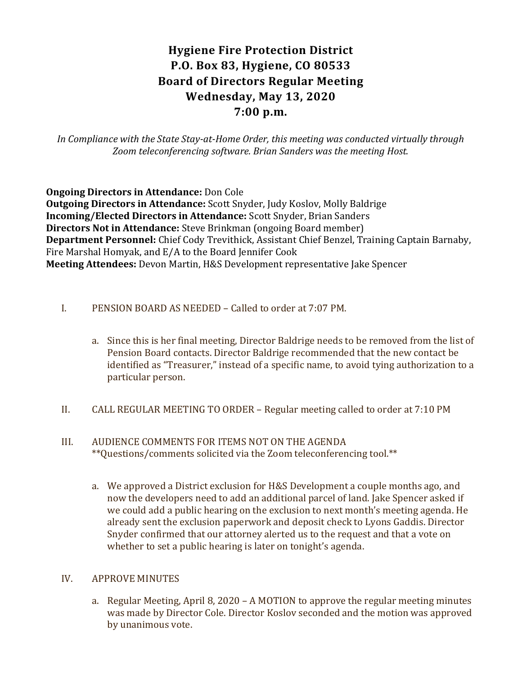# Hygiene Fire Protection District P.O. Box 83, Hygiene, CO 80533 Board of Directors Regular Meeting Wednesday, May 13, 2020 7:00 p.m.

In Compliance with the State Stay-at-Home Order, this meeting was conducted virtually through Zoom teleconferencing software. Brian Sanders was the meeting Host.

Ongoing Directors in Attendance: Don Cole Outgoing Directors in Attendance: Scott Snyder, Judy Koslov, Molly Baldrige Incoming/Elected Directors in Attendance: Scott Snyder, Brian Sanders Directors Not in Attendance: Steve Brinkman (ongoing Board member) Department Personnel: Chief Cody Trevithick, Assistant Chief Benzel, Training Captain Barnaby, Fire Marshal Homyak, and E/A to the Board Jennifer Cook Meeting Attendees: Devon Martin, H&S Development representative Jake Spencer

- I. PENSION BOARD AS NEEDED Called to order at 7:07 PM.
	- a. Since this is her final meeting, Director Baldrige needs to be removed from the list of Pension Board contacts. Director Baldrige recommended that the new contact be identified as "Treasurer," instead of a specific name, to avoid tying authorization to a particular person.
- II. CALL REGULAR MEETING TO ORDER Regular meeting called to order at 7:10 PM
- III. AUDIENCE COMMENTS FOR ITEMS NOT ON THE AGENDA \*\*Questions/comments solicited via the Zoom teleconferencing tool.\*\*
	- a. We approved a District exclusion for H&S Development a couple months ago, and now the developers need to add an additional parcel of land. Jake Spencer asked if we could add a public hearing on the exclusion to next month's meeting agenda. He already sent the exclusion paperwork and deposit check to Lyons Gaddis. Director Snyder confirmed that our attorney alerted us to the request and that a vote on whether to set a public hearing is later on tonight's agenda.

#### IV. APPROVE MINUTES

a. Regular Meeting, April 8, 2020 – A MOTION to approve the regular meeting minutes was made by Director Cole. Director Koslov seconded and the motion was approved by unanimous vote.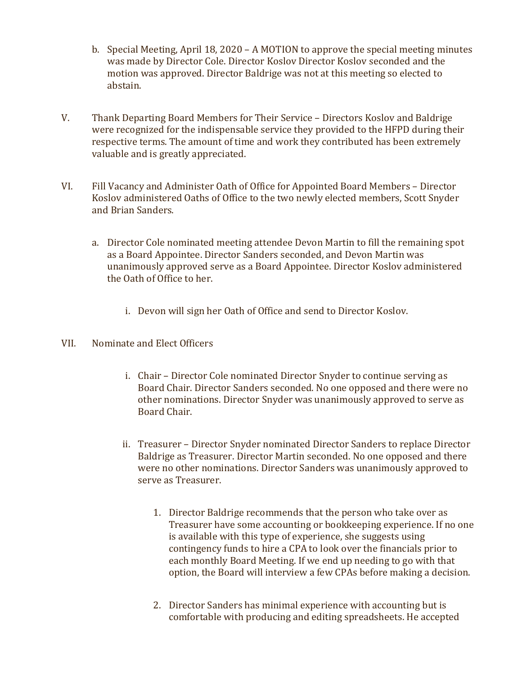- b. Special Meeting, April 18, 2020 A MOTION to approve the special meeting minutes was made by Director Cole. Director Koslov Director Koslov seconded and the motion was approved. Director Baldrige was not at this meeting so elected to abstain.
- V. Thank Departing Board Members for Their Service Directors Koslov and Baldrige were recognized for the indispensable service they provided to the HFPD during their respective terms. The amount of time and work they contributed has been extremely valuable and is greatly appreciated.
- VI. Fill Vacancy and Administer Oath of Office for Appointed Board Members Director Koslov administered Oaths of Office to the two newly elected members, Scott Snyder and Brian Sanders.
	- a. Director Cole nominated meeting attendee Devon Martin to fill the remaining spot as a Board Appointee. Director Sanders seconded, and Devon Martin was unanimously approved serve as a Board Appointee. Director Koslov administered the Oath of Office to her.
		- i. Devon will sign her Oath of Office and send to Director Koslov.
- VII. Nominate and Elect Officers
	- i. Chair Director Cole nominated Director Snyder to continue serving as Board Chair. Director Sanders seconded. No one opposed and there were no other nominations. Director Snyder was unanimously approved to serve as Board Chair.
	- ii. Treasurer Director Snyder nominated Director Sanders to replace Director Baldrige as Treasurer. Director Martin seconded. No one opposed and there were no other nominations. Director Sanders was unanimously approved to serve as Treasurer.
		- 1. Director Baldrige recommends that the person who take over as Treasurer have some accounting or bookkeeping experience. If no one is available with this type of experience, she suggests using contingency funds to hire a CPA to look over the financials prior to each monthly Board Meeting. If we end up needing to go with that option, the Board will interview a few CPAs before making a decision.
		- 2. Director Sanders has minimal experience with accounting but is comfortable with producing and editing spreadsheets. He accepted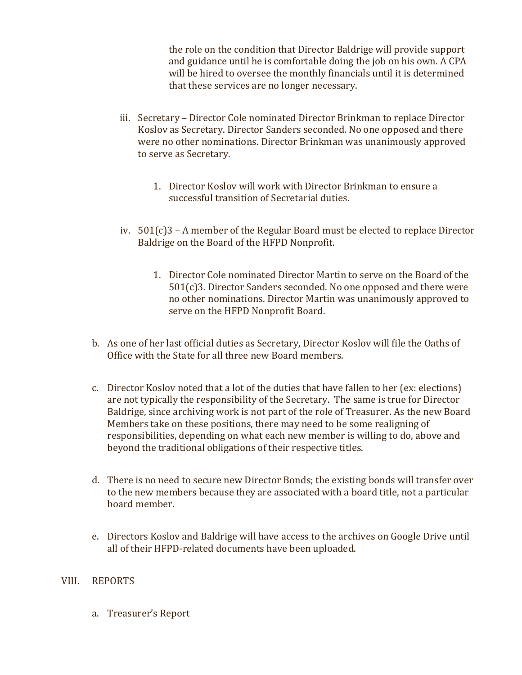the role on the condition that Director Baldrige will provide support and guidance until he is comfortable doing the job on his own. A CPA will be hired to oversee the monthly financials until it is determined that these services are no longer necessary.

- iii. Secretary Director Cole nominated Director Brinkman to replace Director Koslov as Secretary. Director Sanders seconded. No one opposed and there were no other nominations. Director Brinkman was unanimously approved to serve as Secretary.
	- 1. Director Koslov will work with Director Brinkman to ensure a successful transition of Secretarial duties.
- iv. 501(c)3 A member of the Regular Board must be elected to replace Director Baldrige on the Board of the HFPD Nonprofit.
	- 1. Director Cole nominated Director Martin to serve on the Board of the 501(c)3. Director Sanders seconded. No one opposed and there were no other nominations. Director Martin was unanimously approved to serve on the HFPD Nonprofit Board.
- b. As one of her last official duties as Secretary, Director Koslov will file the Oaths of Office with the State for all three new Board members.
- c. Director Koslov noted that a lot of the duties that have fallen to her (ex: elections) are not typically the responsibility of the Secretary. The same is true for Director Baldrige, since archiving work is not part of the role of Treasurer. As the new Board Members take on these positions, there may need to be some realigning of responsibilities, depending on what each new member is willing to do, above and beyond the traditional obligations of their respective titles.
- d. There is no need to secure new Director Bonds; the existing bonds will transfer over to the new members because they are associated with a board title, not a particular board member.
- e. Directors Koslov and Baldrige will have access to the archives on Google Drive until all of their HFPD-related documents have been uploaded.

## VIII. REPORTS

a. Treasurer's Report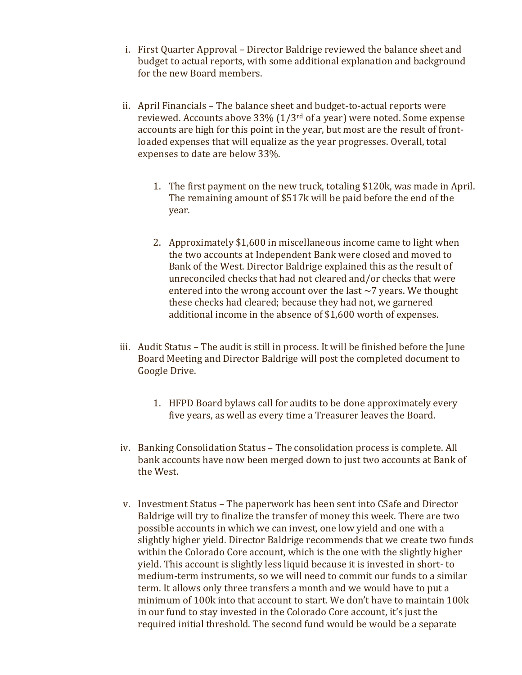- i. First Quarter Approval Director Baldrige reviewed the balance sheet and budget to actual reports, with some additional explanation and background for the new Board members.
- ii. April Financials The balance sheet and budget-to-actual reports were reviewed. Accounts above 33% (1/3rd of a year) were noted. Some expense accounts are high for this point in the year, but most are the result of frontloaded expenses that will equalize as the year progresses. Overall, total expenses to date are below 33%.
	- 1. The first payment on the new truck, totaling \$120k, was made in April. The remaining amount of \$517k will be paid before the end of the year.
	- 2. Approximately \$1,600 in miscellaneous income came to light when the two accounts at Independent Bank were closed and moved to Bank of the West. Director Baldrige explained this as the result of unreconciled checks that had not cleared and/or checks that were entered into the wrong account over the last  $\sim$  7 years. We thought these checks had cleared; because they had not, we garnered additional income in the absence of \$1,600 worth of expenses.
- iii. Audit Status The audit is still in process. It will be finished before the June Board Meeting and Director Baldrige will post the completed document to Google Drive.
	- 1. HFPD Board bylaws call for audits to be done approximately every five years, as well as every time a Treasurer leaves the Board.
- iv. Banking Consolidation Status The consolidation process is complete. All bank accounts have now been merged down to just two accounts at Bank of the West.
- v. Investment Status The paperwork has been sent into CSafe and Director Baldrige will try to finalize the transfer of money this week. There are two possible accounts in which we can invest, one low yield and one with a slightly higher yield. Director Baldrige recommends that we create two funds within the Colorado Core account, which is the one with the slightly higher yield. This account is slightly less liquid because it is invested in short- to medium-term instruments, so we will need to commit our funds to a similar term. It allows only three transfers a month and we would have to put a minimum of 100k into that account to start. We don't have to maintain 100k in our fund to stay invested in the Colorado Core account, it's just the required initial threshold. The second fund would be would be a separate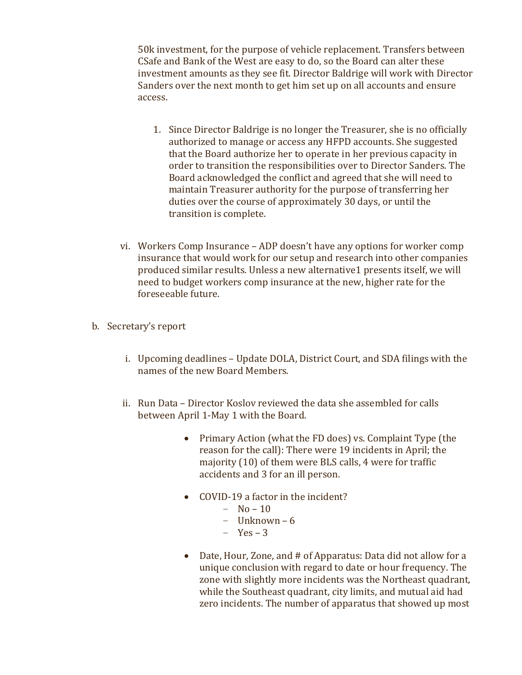50k investment, for the purpose of vehicle replacement. Transfers between CSafe and Bank of the West are easy to do, so the Board can alter these investment amounts as they see fit. Director Baldrige will work with Director Sanders over the next month to get him set up on all accounts and ensure access.

- 1. Since Director Baldrige is no longer the Treasurer, she is no officially authorized to manage or access any HFPD accounts. She suggested that the Board authorize her to operate in her previous capacity in order to transition the responsibilities over to Director Sanders. The Board acknowledged the conflict and agreed that she will need to maintain Treasurer authority for the purpose of transferring her duties over the course of approximately 30 days, or until the transition is complete.
- vi. Workers Comp Insurance ADP doesn't have any options for worker comp insurance that would work for our setup and research into other companies produced similar results. Unless a new alternative1 presents itself, we will need to budget workers comp insurance at the new, higher rate for the foreseeable future.
- b. Secretary's report
	- i. Upcoming deadlines Update DOLA, District Court, and SDA filings with the names of the new Board Members.
	- ii. Run Data Director Koslov reviewed the data she assembled for calls between April 1-May 1 with the Board.
		- Primary Action (what the FD does) vs. Complaint Type (the reason for the call): There were 19 incidents in April; the majority (10) of them were BLS calls, 4 were for traffic accidents and 3 for an ill person.
		- COVID-19 a factor in the incident?
			- $-$  No 10
			- Unknown 6
			- Yes 3
		- Date, Hour, Zone, and # of Apparatus: Data did not allow for a unique conclusion with regard to date or hour frequency. The zone with slightly more incidents was the Northeast quadrant, while the Southeast quadrant, city limits, and mutual aid had zero incidents. The number of apparatus that showed up most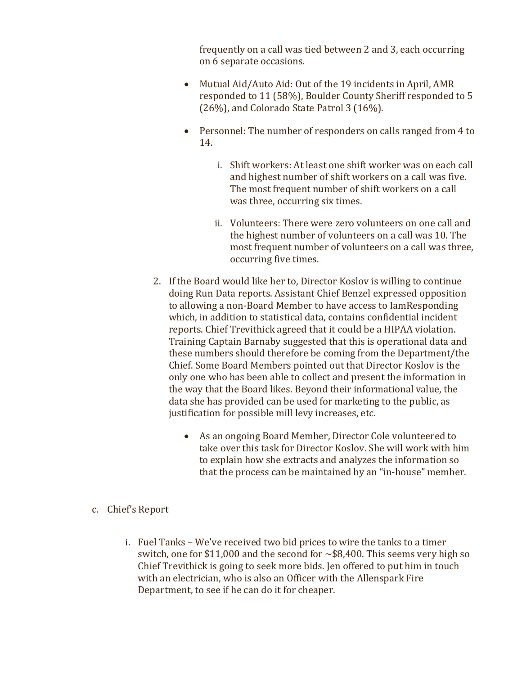frequently on a call was tied between 2 and 3, each occurring on 6 separate occasions.

- Mutual Aid/Auto Aid: Out of the 19 incidents in April, AMR responded to 11 (58%), Boulder County Sheriff responded to 5 (26%), and Colorado State Patrol 3 (16%).
- Personnel: The number of responders on calls ranged from 4 to 14.
	- i. Shift workers: At least one shift worker was on each call and highest number of shift workers on a call was five. The most frequent number of shift workers on a call was three, occurring six times.
	- ii. Volunteers: There were zero volunteers on one call and the highest number of volunteers on a call was 10. The most frequent number of volunteers on a call was three, occurring five times.
- 2. If the Board would like her to, Director Koslov is willing to continue doing Run Data reports. Assistant Chief Benzel expressed opposition to allowing a non-Board Member to have access to IamResponding which, in addition to statistical data, contains confidential incident reports. Chief Trevithick agreed that it could be a HIPAA violation. Training Captain Barnaby suggested that this is operational data and these numbers should therefore be coming from the Department/the Chief. Some Board Members pointed out that Director Koslov is the only one who has been able to collect and present the information in the way that the Board likes. Beyond their informational value, the data she has provided can be used for marketing to the public, as justification for possible mill levy increases, etc.
	- As an ongoing Board Member, Director Cole volunteered to take over this task for Director Koslov. She will work with him to explain how she extracts and analyzes the information so that the process can be maintained by an "in-house" member.
- c. Chief's Report
	- i. Fuel Tanks We've received two bid prices to wire the tanks to a timer switch, one for \$11,000 and the second for  $\sim$  \$8,400. This seems very high so Chief Trevithick is going to seek more bids. Jen offered to put him in touch with an electrician, who is also an Officer with the Allenspark Fire Department, to see if he can do it for cheaper.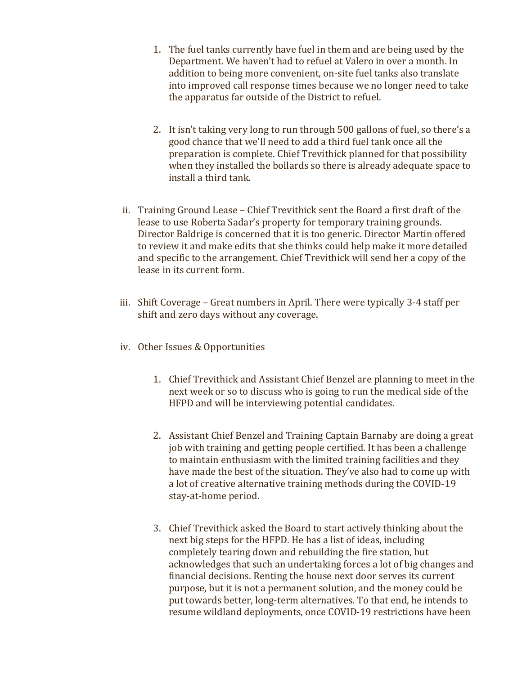- 1. The fuel tanks currently have fuel in them and are being used by the Department. We haven't had to refuel at Valero in over a month. In addition to being more convenient, on-site fuel tanks also translate into improved call response times because we no longer need to take the apparatus far outside of the District to refuel.
- 2. It isn't taking very long to run through 500 gallons of fuel, so there's a good chance that we'll need to add a third fuel tank once all the preparation is complete. Chief Trevithick planned for that possibility when they installed the bollards so there is already adequate space to install a third tank.
- ii. Training Ground Lease Chief Trevithick sent the Board a first draft of the lease to use Roberta Sadar's property for temporary training grounds. Director Baldrige is concerned that it is too generic. Director Martin offered to review it and make edits that she thinks could help make it more detailed and specific to the arrangement. Chief Trevithick will send her a copy of the lease in its current form.
- iii. Shift Coverage Great numbers in April. There were typically 3-4 staff per shift and zero days without any coverage.
- iv. Other Issues & Opportunities
	- 1. Chief Trevithick and Assistant Chief Benzel are planning to meet in the next week or so to discuss who is going to run the medical side of the HFPD and will be interviewing potential candidates.
	- 2. Assistant Chief Benzel and Training Captain Barnaby are doing a great job with training and getting people certified. It has been a challenge to maintain enthusiasm with the limited training facilities and they have made the best of the situation. They've also had to come up with a lot of creative alternative training methods during the COVID-19 stay-at-home period.
	- 3. Chief Trevithick asked the Board to start actively thinking about the next big steps for the HFPD. He has a list of ideas, including completely tearing down and rebuilding the fire station, but acknowledges that such an undertaking forces a lot of big changes and financial decisions. Renting the house next door serves its current purpose, but it is not a permanent solution, and the money could be put towards better, long-term alternatives. To that end, he intends to resume wildland deployments, once COVID-19 restrictions have been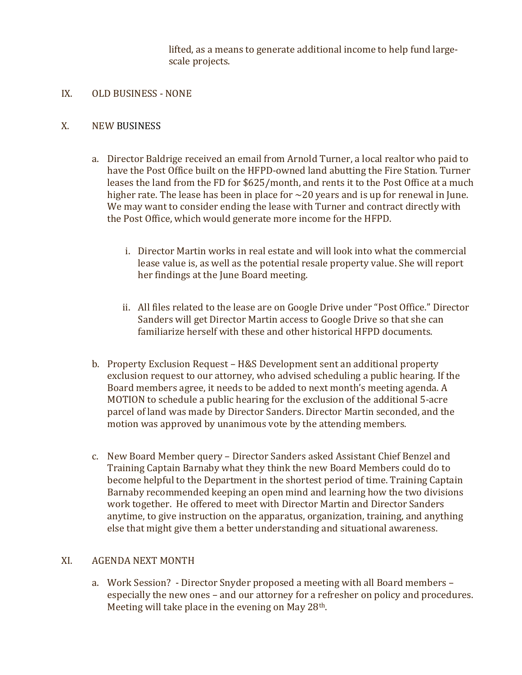lifted, as a means to generate additional income to help fund largescale projects.

IX. OLD BUSINESS - NONE

## X. NEW BUSINESS

- a. Director Baldrige received an email from Arnold Turner, a local realtor who paid to have the Post Office built on the HFPD-owned land abutting the Fire Station. Turner leases the land from the FD for \$625/month, and rents it to the Post Office at a much higher rate. The lease has been in place for  $\sim$  20 years and is up for renewal in June. We may want to consider ending the lease with Turner and contract directly with the Post Office, which would generate more income for the HFPD.
	- i. Director Martin works in real estate and will look into what the commercial lease value is, as well as the potential resale property value. She will report her findings at the June Board meeting.
	- ii. All files related to the lease are on Google Drive under "Post Office." Director Sanders will get Director Martin access to Google Drive so that she can familiarize herself with these and other historical HFPD documents.
- b. Property Exclusion Request H&S Development sent an additional property exclusion request to our attorney, who advised scheduling a public hearing. If the Board members agree, it needs to be added to next month's meeting agenda. A MOTION to schedule a public hearing for the exclusion of the additional 5-acre parcel of land was made by Director Sanders. Director Martin seconded, and the motion was approved by unanimous vote by the attending members.
- c. New Board Member query Director Sanders asked Assistant Chief Benzel and Training Captain Barnaby what they think the new Board Members could do to become helpful to the Department in the shortest period of time. Training Captain Barnaby recommended keeping an open mind and learning how the two divisions work together. He offered to meet with Director Martin and Director Sanders anytime, to give instruction on the apparatus, organization, training, and anything else that might give them a better understanding and situational awareness.

#### XI. AGENDA NEXT MONTH

a. Work Session? - Director Snyder proposed a meeting with all Board members – especially the new ones – and our attorney for a refresher on policy and procedures. Meeting will take place in the evening on May 28<sup>th</sup>.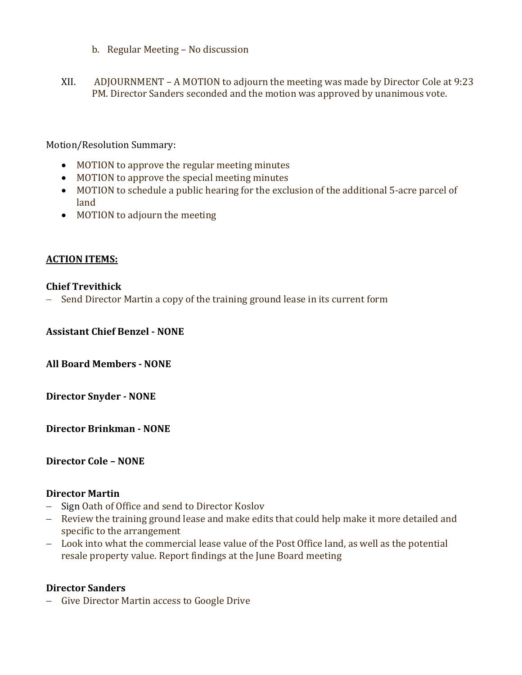- b. Regular Meeting No discussion
- XII. ADJOURNMENT A MOTION to adjourn the meeting was made by Director Cole at 9:23 PM. Director Sanders seconded and the motion was approved by unanimous vote.

Motion/Resolution Summary:

- MOTION to approve the regular meeting minutes
- MOTION to approve the special meeting minutes
- MOTION to schedule a public hearing for the exclusion of the additional 5-acre parcel of land
- MOTION to adjourn the meeting

### ACTION ITEMS:

#### Chief Trevithick

- Send Director Martin a copy of the training ground lease in its current form

Assistant Chief Benzel - NONE

All Board Members - NONE

Director Snyder - NONE

Director Brinkman - NONE

Director Cole – NONE

### Director Martin

- Sign Oath of Office and send to Director Koslov
- Review the training ground lease and make edits that could help make it more detailed and specific to the arrangement
- Look into what the commercial lease value of the Post Office land, as well as the potential resale property value. Report findings at the June Board meeting

#### Director Sanders

- Give Director Martin access to Google Drive